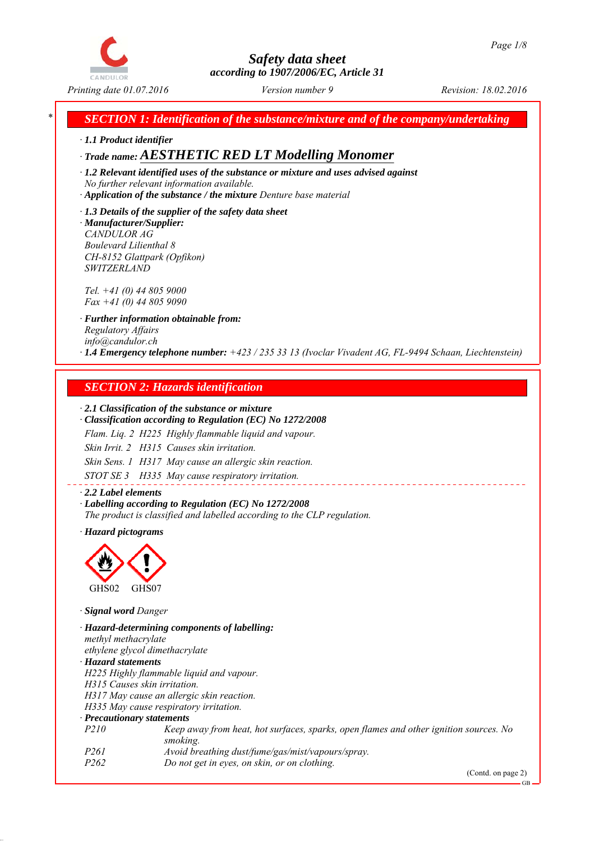

*\* SECTION 1: Identification of the substance/mixture and of the company/undertaking*

*∙ 1.1 Product identifier*

*∙ Trade name: AESTHETIC RED LT Modelling Monomer*

*∙ 1.2 Relevant identified uses of the substance or mixture and uses advised against No further relevant information available.*

*∙ Application of the substance / the mixture Denture base material*

*∙ 1.3 Details of the supplier of the safety data sheet ∙ Manufacturer/Supplier: CANDULOR AG Boulevard Lilienthal 8 CH-8152 Glattpark (Opfikon) SWITZERLAND*

*Tel. +41 (0) 44 805 9000 Fax +41 (0) 44 805 9090*

*∙ Further information obtainable from: Regulatory Affairs info@candulor.ch ∙ 1.4 Emergency telephone number: +423 / 235 33 13 (Ivoclar Vivadent AG, FL-9494 Schaan, Liechtenstein)*

## *SECTION 2: Hazards identification*

#### *∙ 2.1 Classification of the substance or mixture*

*∙ Classification according to Regulation (EC) No 1272/2008*

*Flam. Liq. 2 H225 Highly flammable liquid and vapour.*

*Skin Irrit. 2 H315 Causes skin irritation.*

*Skin Sens. 1 H317 May cause an allergic skin reaction.*

*STOT SE 3 H335 May cause respiratory irritation.*

*∙ 2.2 Label elements ∙ Labelling according to Regulation (EC) No 1272/2008 The product is classified and labelled according to the CLP regulation.*

*∙ Hazard pictograms*



*∙ Signal word Danger*

*∙ Hazard-determining components of labelling: methyl methacrylate ethylene glycol dimethacrylate ∙ Hazard statements H225 Highly flammable liquid and vapour. H315 Causes skin irritation. H317 May cause an allergic skin reaction. H335 May cause respiratory irritation. ∙ Precautionary statements P210 Keep away from heat, hot surfaces, sparks, open flames and other ignition sources. No smoking. P261 Avoid breathing dust/fume/gas/mist/vapours/spray. P262 Do not get in eyes, on skin, or on clothing.*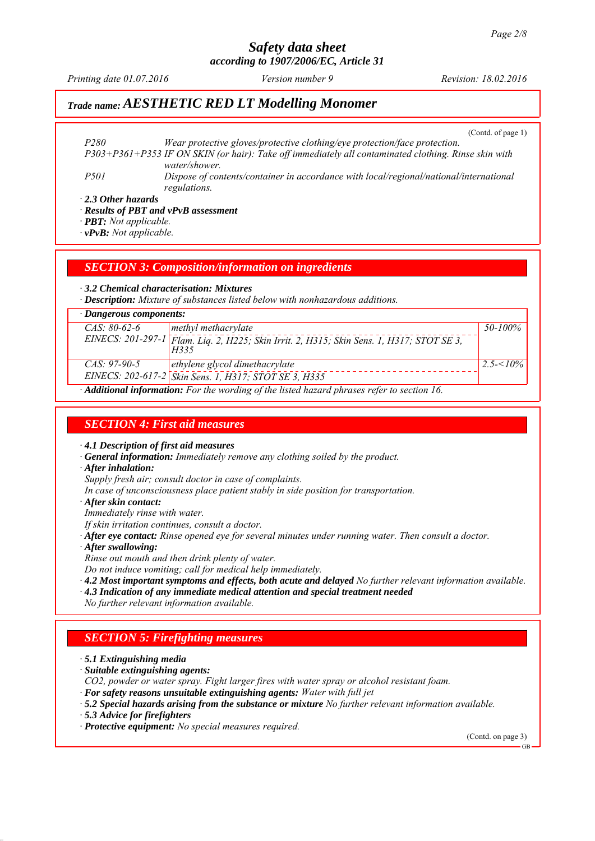# *Safety data sheet*

*according to 1907/2006/EC, Article 31*

*Printing date 01.07.2016 Revision: 18.02.2016 Version number 9*

# *Trade name: AESTHETIC RED LT Modelling Monomer*

(Contd. of page 1)

*P280 Wear protective gloves/protective clothing/eye protection/face protection. P303+P361+P353 IF ON SKIN (or hair): Take off immediately all contaminated clothing. Rinse skin with water/shower. P501 Dispose of contents/container in accordance with local/regional/national/international regulations.*

*∙ 2.3 Other hazards*

*∙ Results of PBT and vPvB assessment*

*∙ PBT: Not applicable.*

*∙ vPvB: Not applicable.*

#### *SECTION 3: Composition/information on ingredients*

*∙ 3.2 Chemical characterisation: Mixtures*

*∙ Description: Mixture of substances listed below with nonhazardous additions.*

| $\cdot$ Dangerous components:                                                                           |                                                                                                   |                |  |  |
|---------------------------------------------------------------------------------------------------------|---------------------------------------------------------------------------------------------------|----------------|--|--|
| $CAS: 80-62-6$                                                                                          | methyl methacrylate                                                                               | 50-100%        |  |  |
|                                                                                                         | EINECS: 201-297-1 Flam. Liq. 2, H225; Skin Irrit. 2, H315; Skin Sens. 1, H317; STOT SE 3,<br>H335 |                |  |  |
| $CAS: 97-90-5$                                                                                          | ethylene glycol dimethacrylate                                                                    | $2.5 - 5/10\%$ |  |  |
|                                                                                                         | EINECS: 202-617-2 Skin Sens. 1, H317; STOT SE 3, H335                                             |                |  |  |
| $\cdot$ <b>Additional information:</b> For the wording of the listed hazard phrases refer to section 16 |                                                                                                   |                |  |  |

*∙ Additional information: For the wording of the listed hazard phrases refer to section 16.*

#### *SECTION 4: First aid measures*

*∙ 4.1 Description of first aid measures*

- *∙ General information: Immediately remove any clothing soiled by the product.*
- *∙ After inhalation:*

*Supply fresh air; consult doctor in case of complaints.*

- *In case of unconsciousness place patient stably in side position for transportation.*
- *∙ After skin contact:*

*Immediately rinse with water.*

- *If skin irritation continues, consult a doctor.*
- *∙ After eye contact: Rinse opened eye for several minutes under running water. Then consult a doctor.*
- *∙ After swallowing:*
- *Rinse out mouth and then drink plenty of water.*

*Do not induce vomiting; call for medical help immediately.*

- *∙ 4.2 Most important symptoms and effects, both acute and delayed No further relevant information available.*
- *∙ 4.3 Indication of any immediate medical attention and special treatment needed*
- *No further relevant information available.*

#### *SECTION 5: Firefighting measures*

- *∙ 5.1 Extinguishing media*
- *∙ Suitable extinguishing agents:*
- *CO2, powder or water spray. Fight larger fires with water spray or alcohol resistant foam.*
- *∙ For safety reasons unsuitable extinguishing agents: Water with full jet*
- *∙ 5.2 Special hazards arising from the substance or mixture No further relevant information available.*
- *∙ 5.3 Advice for firefighters*
- *∙ Protective equipment: No special measures required.*

(Contd. on page 3)

GB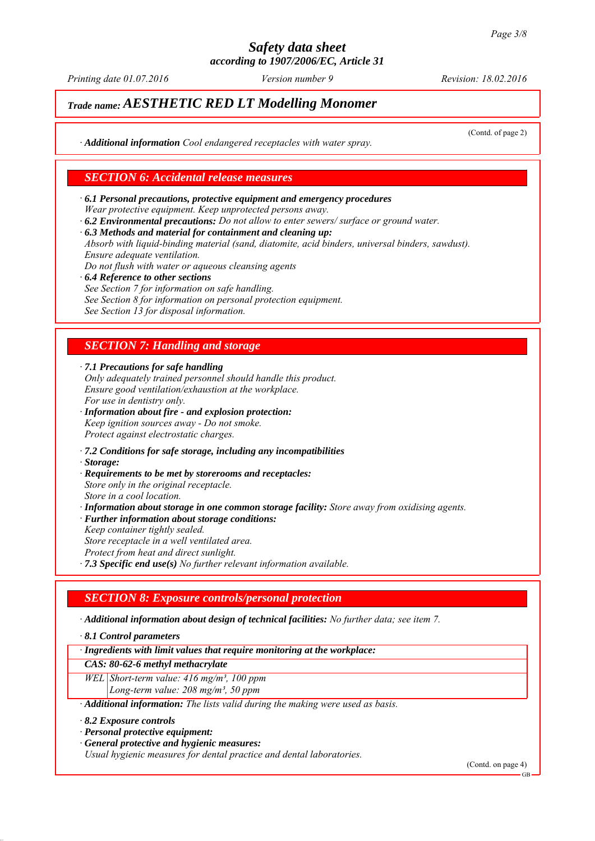*Printing date 01.07.2016 Revision: 18.02.2016 Version number 9*

# *Trade name: AESTHETIC RED LT Modelling Monomer*

(Contd. of page 2)

*∙ Additional information Cool endangered receptacles with water spray.*

#### *SECTION 6: Accidental release measures*

- *∙ 6.1 Personal precautions, protective equipment and emergency procedures Wear protective equipment. Keep unprotected persons away.*
- *∙ 6.2 Environmental precautions: Do not allow to enter sewers/ surface or ground water.*
- *∙ 6.3 Methods and material for containment and cleaning up:*

*Absorb with liquid-binding material (sand, diatomite, acid binders, universal binders, sawdust). Ensure adequate ventilation.*

- *Do not flush with water or aqueous cleansing agents*
- *∙ 6.4 Reference to other sections See Section 7 for information on safe handling. See Section 8 for information on personal protection equipment. See Section 13 for disposal information.*

## *SECTION 7: Handling and storage*

*∙ 7.1 Precautions for safe handling*

- *Only adequately trained personnel should handle this product. Ensure good ventilation/exhaustion at the workplace. For use in dentistry only.*
- *∙ Information about fire and explosion protection: Keep ignition sources away - Do not smoke. Protect against electrostatic charges.*
- *∙ 7.2 Conditions for safe storage, including any incompatibilities*
- *∙ Storage:*
- *∙ Requirements to be met by storerooms and receptacles: Store only in the original receptacle. Store in a cool location.*
- *∙ Information about storage in one common storage facility: Store away from oxidising agents.*
- *∙ Further information about storage conditions: Keep container tightly sealed. Store receptacle in a well ventilated area.*
- 
- *Protect from heat and direct sunlight.*
- *∙ 7.3 Specific end use(s) No further relevant information available.*

#### *SECTION 8: Exposure controls/personal protection*

*∙ Additional information about design of technical facilities: No further data; see item 7.*

*∙ 8.1 Control parameters*

*∙ Ingredients with limit values that require monitoring at the workplace:*

#### *CAS: 80-62-6 methyl methacrylate*

*WEL Short-term value: 416 mg/m³, 100 ppm Long-term value: 208 mg/m³, 50 ppm*

*∙ Additional information: The lists valid during the making were used as basis.*

*∙ 8.2 Exposure controls*

- *∙ Personal protective equipment:*
- *∙ General protective and hygienic measures:*

*Usual hygienic measures for dental practice and dental laboratories.*

(Contd. on page 4)

GB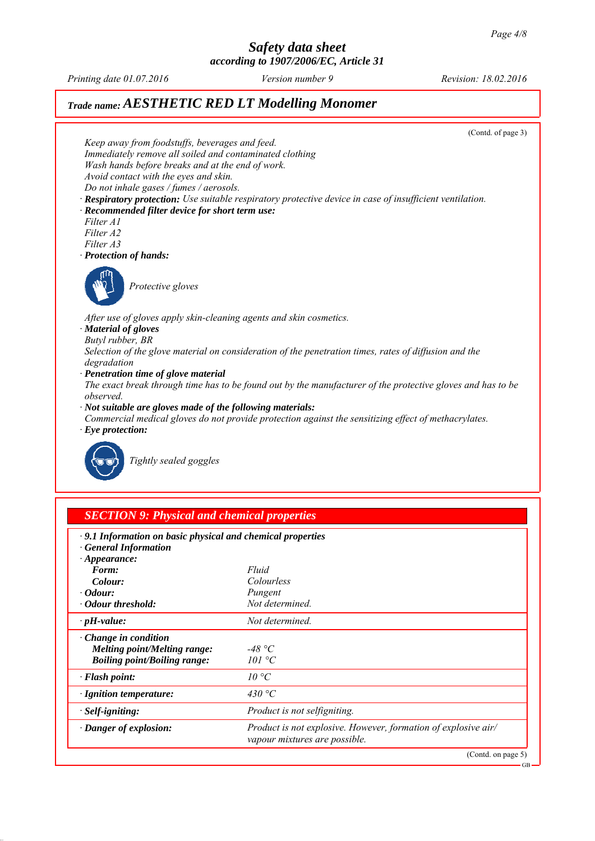*Printing date 01.07.2016 Revision: 18.02.2016 Version number 9*

# *Trade name: AESTHETIC RED LT Modelling Monomer*



| <b>SECTION 9: Physical and chemical properties</b> |
|----------------------------------------------------|
|                                                    |

| <b>General Information</b>          |                                                                                                 |
|-------------------------------------|-------------------------------------------------------------------------------------------------|
| $\cdot$ Appearance:<br>Form:        | Fluid                                                                                           |
| Colour:                             | Colourless                                                                                      |
| $\cdot$ Odour:                      | Pungent                                                                                         |
| • Odour threshold:                  | Not determined.                                                                                 |
| $\cdot$ pH-value:                   | Not determined.                                                                                 |
| $\cdot$ Change in condition         |                                                                                                 |
| <b>Melting point/Melting range:</b> | -48 °C                                                                                          |
| <b>Boiling point/Boiling range:</b> | 101 °C                                                                                          |
| · Flash point:                      | 10 °C                                                                                           |
| $\cdot$ Ignition temperature:       | 430 °C                                                                                          |
| · Self-igniting:                    | Product is not selfigniting.                                                                    |
| · Danger of explosion:              | Product is not explosive. However, formation of explosive air/<br>vapour mixtures are possible. |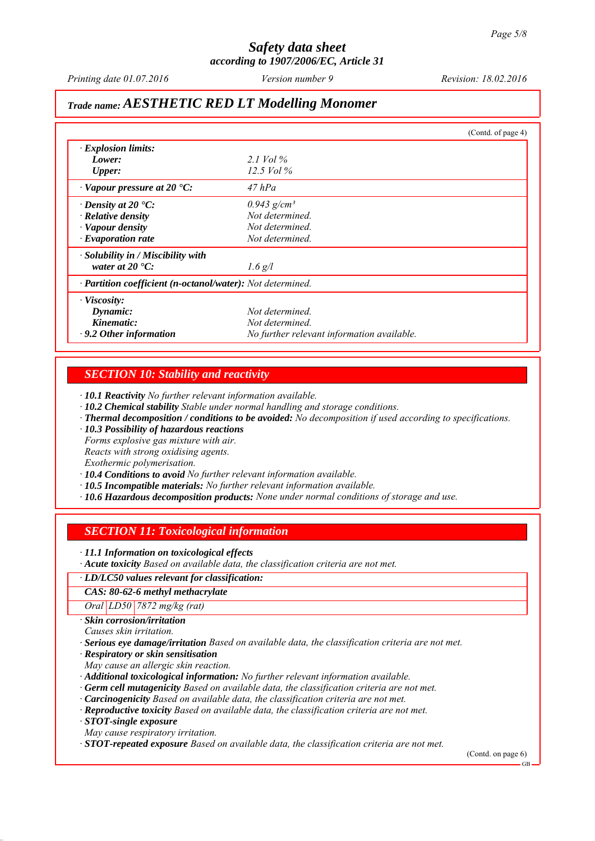*Printing date 01.07.2016 Revision: 18.02.2016 Version number 9*

# *Trade name: AESTHETIC RED LT Modelling Monomer*

|                                                            |                                            | (Contd. of page 4) |
|------------------------------------------------------------|--------------------------------------------|--------------------|
| $\cdot$ Explosion limits:                                  |                                            |                    |
| Lower:                                                     | 2.1 Vol $\%$                               |                    |
| <b>Upper:</b>                                              | 12.5 Vol $\%$                              |                    |
| $\cdot$ Vapour pressure at 20 $\cdot$ C:                   | $47$ hPa                                   |                    |
| $\cdot$ Density at 20 $\cdot$ C:                           | $0.943$ g/cm <sup>3</sup>                  |                    |
| $\cdot$ Relative density                                   | Not determined.                            |                    |
| · Vapour density                                           | Not determined.                            |                    |
| $\cdot$ Evaporation rate                                   | Not determined.                            |                    |
| · Solubility in / Miscibility with                         |                                            |                    |
| water at $20^{\circ}$ C:                                   | $1.6$ g/l                                  |                    |
| · Partition coefficient (n-octanol/water): Not determined. |                                            |                    |
| $\cdot$ Viscosity:                                         |                                            |                    |
| Dynamic:                                                   | Not determined.                            |                    |
| Kinematic:                                                 | Not determined.                            |                    |
| $\cdot$ 9.2 Other information                              | No further relevant information available. |                    |

#### *SECTION 10: Stability and reactivity*

*∙ 10.1 Reactivity No further relevant information available.*

- *∙ 10.2 Chemical stability Stable under normal handling and storage conditions.*
- *∙ Thermal decomposition / conditions to be avoided: No decomposition if used according to specifications.*
- *∙ 10.3 Possibility of hazardous reactions*
- *Forms explosive gas mixture with air.*

*Reacts with strong oxidising agents.*

*Exothermic polymerisation.*

- *∙ 10.4 Conditions to avoid No further relevant information available.*
- *∙ 10.5 Incompatible materials: No further relevant information available.*
- *∙ 10.6 Hazardous decomposition products: None under normal conditions of storage and use.*

#### *SECTION 11: Toxicological information*

*∙ 11.1 Information on toxicological effects*

*∙ Acute toxicity Based on available data, the classification criteria are not met.*

#### *∙ LD/LC50 values relevant for classification:*

*CAS: 80-62-6 methyl methacrylate*

*Oral LD50 7872 mg/kg (rat)*

*∙ Skin corrosion/irritation*

*Causes skin irritation.*

*∙ Serious eye damage/irritation Based on available data, the classification criteria are not met.*

*∙ Respiratory or skin sensitisation*

*May cause an allergic skin reaction.*

*∙ Additional toxicological information: No further relevant information available.*

- *∙ Germ cell mutagenicity Based on available data, the classification criteria are not met.*
- *∙ Carcinogenicity Based on available data, the classification criteria are not met.*
- *∙ Reproductive toxicity Based on available data, the classification criteria are not met.*

*∙ STOT-single exposure*

*May cause respiratory irritation.*

*∙ STOT-repeated exposure Based on available data, the classification criteria are not met.*

(Contd. on page 6)

GB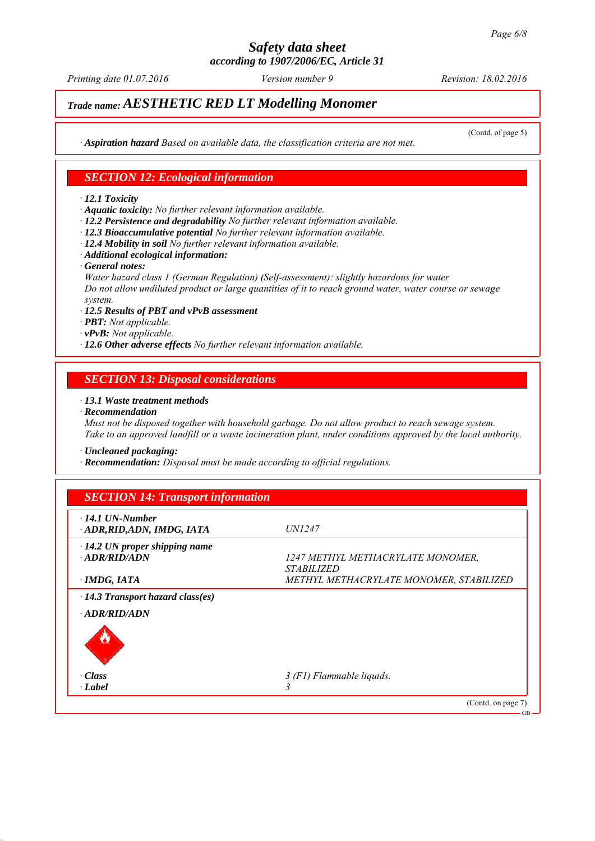# *Safety data sheet*

*according to 1907/2006/EC, Article 31*

*Printing date 01.07.2016 Revision: 18.02.2016 Version number 9*

# *Trade name: AESTHETIC RED LT Modelling Monomer*

(Contd. of page 5)

*∙ Aspiration hazard Based on available data, the classification criteria are not met.*

### *SECTION 12: Ecological information*

#### *∙ 12.1 Toxicity*

- *∙ Aquatic toxicity: No further relevant information available.*
- *∙ 12.2 Persistence and degradability No further relevant information available.*
- *∙ 12.3 Bioaccumulative potential No further relevant information available.*
- *∙ 12.4 Mobility in soil No further relevant information available.*
- *∙ Additional ecological information:*
- *∙ General notes:*

*Water hazard class 1 (German Regulation) (Self-assessment): slightly hazardous for water Do not allow undiluted product or large quantities of it to reach ground water, water course or sewage system.*

- *∙ 12.5 Results of PBT and vPvB assessment*
- *∙ PBT: Not applicable.*
- *∙ vPvB: Not applicable.*
- *∙ 12.6 Other adverse effects No further relevant information available.*

#### *SECTION 13: Disposal considerations*

#### *∙ 13.1 Waste treatment methods*

*∙ Recommendation*

*Must not be disposed together with household garbage. Do not allow product to reach sewage system. Take to an approved landfill or a waste incineration plant, under conditions approved by the local authority.*

*∙ Uncleaned packaging:*

*∙ Recommendation: Disposal must be made according to official regulations.*

| $\cdot$ 14.1 UN-Number                  |                                         |
|-----------------------------------------|-----------------------------------------|
| ADR, RID, ADN, IMDG, IATA               | <i>UN1247</i>                           |
| $\cdot$ 14.2 UN proper shipping name    |                                         |
| $-ADR/RID/ADN$                          | 1247 METHYL METHACRYLATE MONOMER,       |
|                                         | <i><b>STABILIZED</b></i>                |
| · IMDG, IATA                            | METHYL METHACRYLATE MONOMER, STABILIZED |
| $\cdot$ 14.3 Transport hazard class(es) |                                         |
| · ADR/RID/ADN                           |                                         |
| O                                       |                                         |
| $\cdot Class$                           | 3 (F1) Flammable liquids.               |
| · Label                                 |                                         |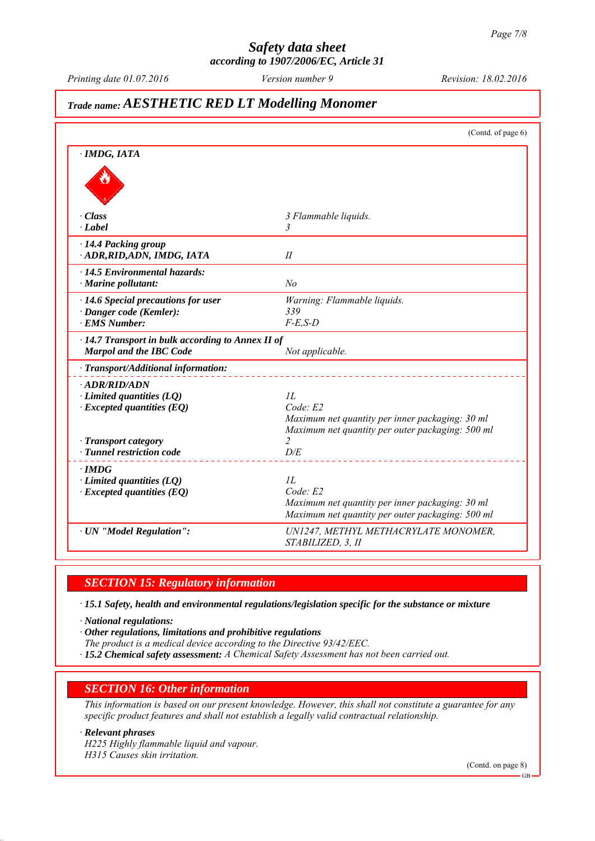# *Safety data sheet*

*according to 1907/2006/EC, Article 31*

*Printing date 01.07.2016 Revision: 18.02.2016 Version number 9*

# *Trade name: AESTHETIC RED LT Modelling Monomer*

|                                                                                      | (Contd. of page 6)                                                                                                     |
|--------------------------------------------------------------------------------------|------------------------------------------------------------------------------------------------------------------------|
| · IMDG, IATA                                                                         |                                                                                                                        |
|                                                                                      |                                                                                                                        |
| $\cdot Class$                                                                        | 3 Flammable liquids.                                                                                                   |
| $\cdot$ <i>Label</i>                                                                 | 3                                                                                                                      |
| · 14.4 Packing group<br>· ADR, RID, ADN, IMDG, IATA                                  | II                                                                                                                     |
| $\cdot$ 14.5 Environmental hazards:<br>$\cdot$ Marine pollutant:                     | No                                                                                                                     |
| $\cdot$ 14.6 Special precautions for user                                            | Warning: Flammable liquids.                                                                                            |
| · Danger code (Kemler):                                                              | 339                                                                                                                    |
| · EMS Number:                                                                        | $F-E$ , $S-D$                                                                                                          |
| $\cdot$ 14.7 Transport in bulk according to Annex II of<br>Marpol and the IBC Code   | Not applicable.                                                                                                        |
| · Transport/Additional information:                                                  |                                                                                                                        |
| · ADR/RID/ADN<br>$\cdot$ Limited quantities (LQ)<br>$\cdot$ Excepted quantities (EQ) | II.<br>Code: E2<br>Maximum net quantity per inner packaging: 30 ml<br>Maximum net quantity per outer packaging: 500 ml |
| · Transport category                                                                 | $\overline{2}$                                                                                                         |
| · Tunnel restriction code                                                            | D/E                                                                                                                    |
| $\cdot$ IMDG<br>$\cdot$ Limited quantities (LQ)<br>$\cdot$ Excepted quantities (EQ)  | IL<br>Code: E2<br>Maximum net quantity per inner packaging: 30 ml<br>Maximum net quantity per outer packaging: 500 ml  |
| · UN "Model Regulation":                                                             | UN1247, METHYL METHACRYLATE MONOMER,<br>STABILIZED, 3, II                                                              |

#### *SECTION 15: Regulatory information*

*∙ 15.1 Safety, health and environmental regulations/legislation specific for the substance or mixture*

*∙ National regulations:*

*∙ Other regulations, limitations and prohibitive regulations*

- *The product is a medical device according to the Directive 93/42/EEC.*
- *∙ 15.2 Chemical safety assessment: A Chemical Safety Assessment has not been carried out.*

#### *SECTION 16: Other information*

*This information is based on our present knowledge. However, this shall not constitute a guarantee for any specific product features and shall not establish a legally valid contractual relationship.*

#### *∙ Relevant phrases*

*H225 Highly flammable liquid and vapour. H315 Causes skin irritation.*

(Contd. on page 8)

GB